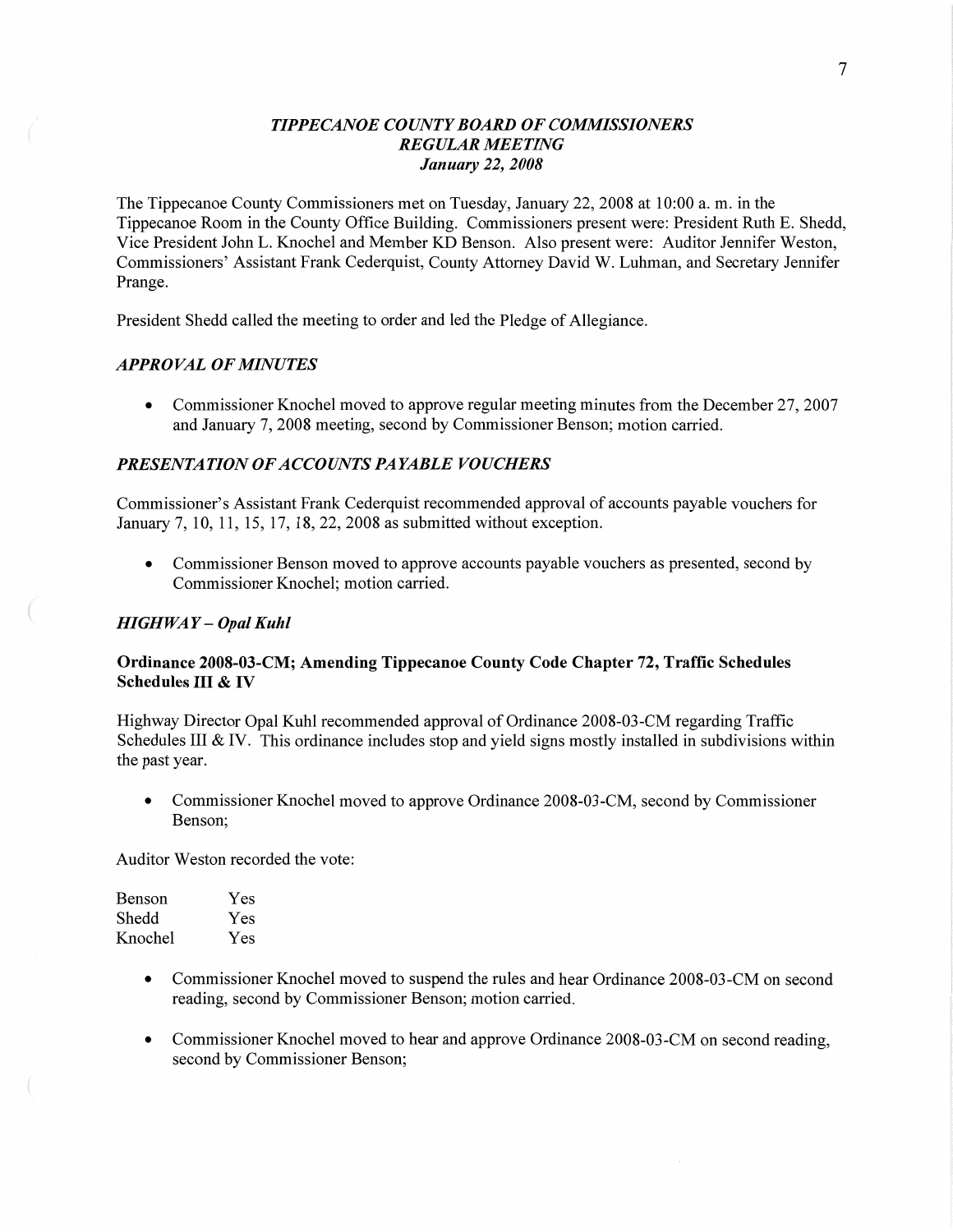### *T IPPECANOE COUNTY BOARD* OF *COMMISSIONERS REGULAR MEETING January* 22, *2008*

The Tippecanoe County Commissioners met on Tuesday, January 22, 2008 at 10:00 a. m. in the Tippecanoe Room in the County **Office** Building. Commissioners present were: President Ruth E. Shedd, Vice President John L. Knochel and Member KD **Benson.** Also present were: Auditor Jennifer Weston, Commissioners' Assistant Frank Cederquist, County Attorney David W. Luhman, and Secretary Jennifer Prange.

President Shedd called the meeting to order and led the Pledge of Allegiance.

#### *APPROVAL* OF *MINUTES*

• Commissioner Knochel moved to approve regular meeting minutes from the December 27, 2007 and January 7, 2008 meeting, second by Commissioner Benson; motion carried.

# **PRESENTATION OF ACCOUNTS PAYABLE VOUCHERS**

Commissioner's Assistant Frank Cederquist recommended approval of accounts payable vouchers for January 7, 10, 11, 15, 17, 18, 22, 2008 as submitted without exception.

• Commissioner Benson moved to approve accounts payable vouchers as presented, second by Commissioner Knochel; motion carried.

#### *HIGHWAY* — *Opal Kuhl*

 $\left($ 

### **Ordinance 2008-03-CM; Amending Tippecanoe County Code Chapter** 72, **Traffic Schedules Schedules** III **&** IV

Highway Director Opal Kuhl recommended approval of Ordinance 2008-03 -CM regarding Traffic Schedules IH & IV. **This** ordinance includes stop and yield signs mostly installed in subdivisions within the past year.

• Commissioner Knochel moved to approve Ordinance 2008-03-CM, second by Commissioner **Benson;** 

Auditor Weston recorded the vote:

| Benson  | Yes |
|---------|-----|
| Shedd   | Yes |
| Knochel | Yes |

- **0** Commissioner Knochel moved to suspend the rules and hear Ordinance 2008-03 -CM on second reading, second by Commissioner Benson; motion carried.
- **0** Commissioner Knochel moved to **hear** and approve Ordinance 2008-03-CM on second reading, **second** by Commissioner Benson;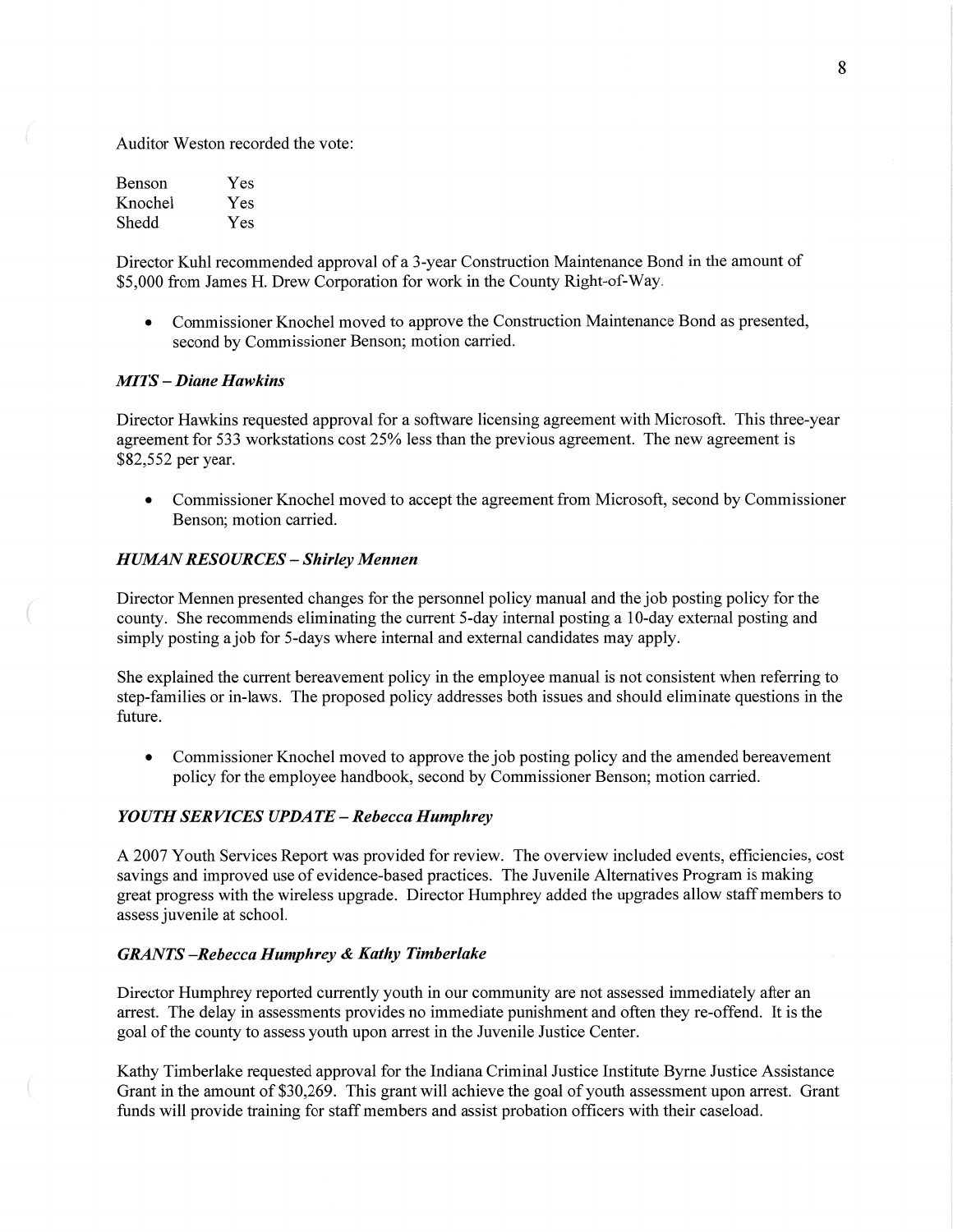Auditor Weston recorded the vote:

| Benson  | Yes |
|---------|-----|
| Knochel | Yes |
| Shedd   | Yes |

Director Kuhl recommended approval of **a** 3-year Construction Maintenance Bond in the amount of \$5,000 from James H. Drew Corporation for work in the County Right-of-Way.

**0** Commissioner Knochel **moved** to approve the Constmction Maintenance Bond as presented, second by Commissioner Benson; motion carried.

### MI TS **—** *Diane Hawkins*

Director Hawkins requested approval for a software licensing agreement with Microsoft. This three-year agreement for 533 workstations cost 25% less **than** the previous agreement. The new agreement is \$82,552 per year.

**0** Commissioner Knochel moved to accept the agreement from Microsoft, second by Commissioner Benson; motion carried.

#### *HUMAN RESOURCES* **—** *Shirley Mennen*

Director Mennen presented changes for the personnel policy manual and the job posting policy for the county. She recommends eliminating the current 5—day internal posting a 10—day external posting and simply posting a job for 5-days Where internal and external candidates may apply.

She explained the current bereavement policy in the employee manual is not consistent when referring to step-families or in—laws. The proposed policy addresses both issues and should eliminate questions in the future.

**0** Commissioner Knochel moved to approve the job posting policy and the amended bereavement policy for the employee handbook, second by Commissioner Benson; motion carried.

### *YOUTH* SER *VICES UPDATE* **—** *Rebecca Humphrey*

**A** 2007 Youth Services Report was provided for review. The overview included events, efficiencies, cost savings and improved use of evidence-based practices. The Juvenile Alternatives Program is making great progress with the wireless upgrade. Director Humphrey added the upgrades allow staff members to assess juvenile at school.

#### *GRANTS —Rebecca Humphrey & Kathy Timberlake*

Director Humphrey reported currently youth in our community are not assessed immediately after an arrest. The delay in assessments provides no immediate punishment and often they re-offend. It is the goal of the county to assess youth upon arrest in the Juvenile Justice Center.

Kathy Timberlake requested approval for the **Indiana** Criminal Justice Institute Byme Justice Assistance Grant in the amount of \$30,269. This grant will achieve the goal of youth assessment upon arrest. Grant funds Will provide training for staff members and assist probation officers with their caseload.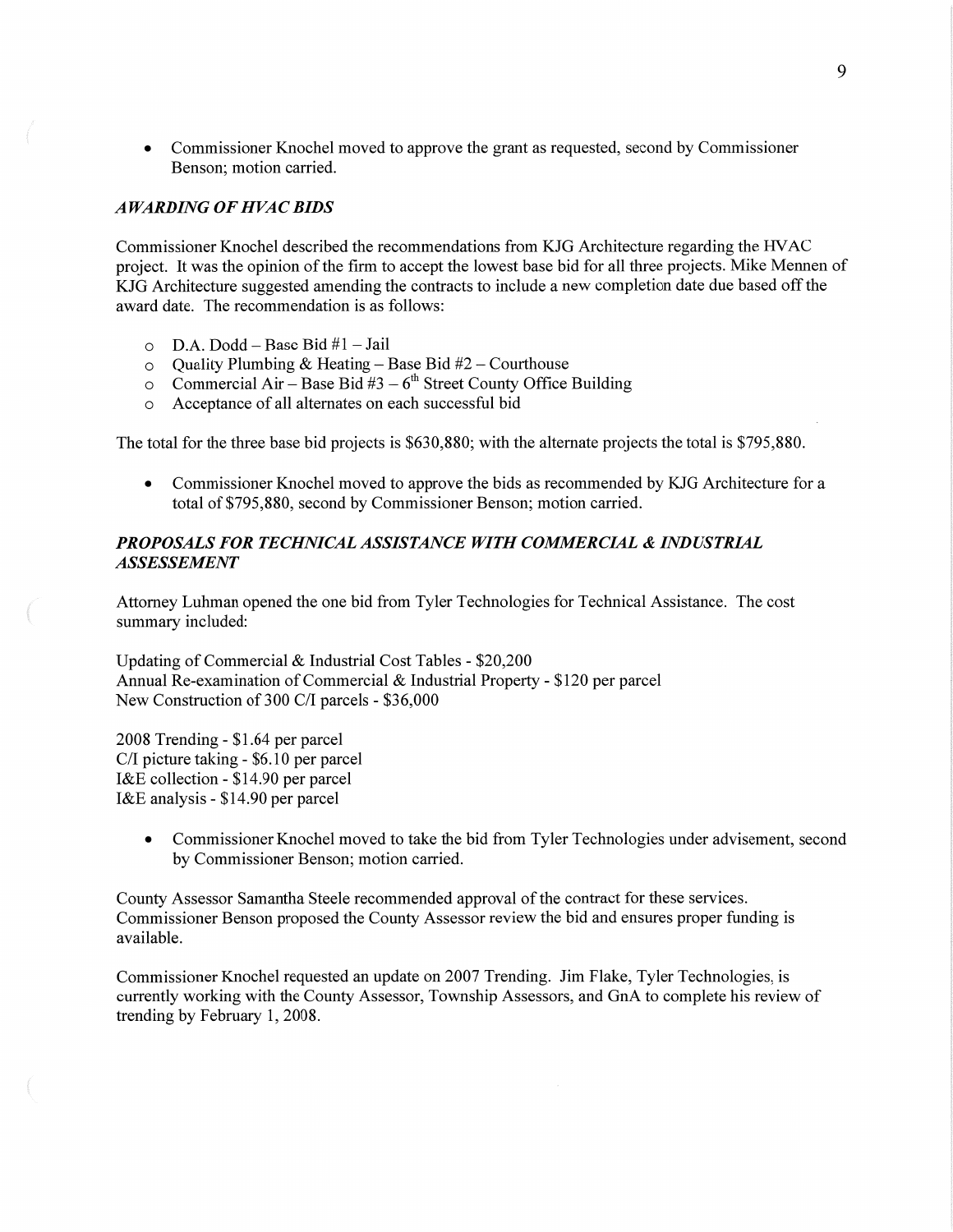• Commissioner Knochel moved to approve the grant as requested, second by Commissioner Benson; motion carried.

#### *A WARDIN G* OF *H* VAC *BIDS*

Commissioner Knochel described the recommendations from KJG Architecture regarding the **HVAC**  project. It was the opinion of the firm to accept the lowest base bid for all three projects. Mike Mennen of KJG Architecture suggested amending the contracts to include a new completion date due based off the award date. The recommendation is as follows:

- **D.A.** Dodd Base Bid #1 Jail
- Quality Plumbing & Heating Base Bid #2 Courthouse
- O D.A. Dodd Base Bid #1 Jail<br>
Quality Plumbing & Heating Base Bid #2 Courthouse<br>
Commercial Air Base Bid #3 6<sup>th</sup> Street County Office Building<br>
Acceptance of all alternates on each successful bid
- Acceptance of all alternates on each successful bid

The total for the three base bid projects is \$630,880; with the alternate projects the total is \$795,880.

**0** Commissioner Knochel moved to approve the bids as recommended by KJG Architecture for a total of \$795,880, second by Commissioner Benson; motion carried.

# *PROPOSALS* FOR *TECHNICAL ASSISTANCE WITH COMMERCIAL & INDUSTRIAL ASSESSEMENT*

Attorney Luhman opened the one bid from Tyler Technologies for Technical Assistance. The cost summary included:

Updating of Commercial & Industrial Cost Tables *-* \$20,200 **Annual** Re-examination of Commercial & Industrial Property **-** \$120 per parcel New Construction of 300 C/I parcels **—** \$36,000

2008 Trending *-* \$1.64 per parcel C/I picture taking *-* \$6.10 per parcel I&E collection *-* \$14.90 per parcel I&E analysis *-* \$14.90 per parcel

> **0** Commissioner Knochel moved to take the bid from Tyler Technologies under advisement, second by Commissioner Benson; motion carried.

County Assessor Samantha Steele recommended approval of the contract for these services. Commissioner Benson proposed the County Assessor review the bid and ensures proper funding is available.

Commissioner Knochel requested an update on 2007 Trending. Jim Flake, Tyler Technologies, is currently working with the County Assessor, Township Assessors, and GnA to complete his review of trending by February 1, 2008.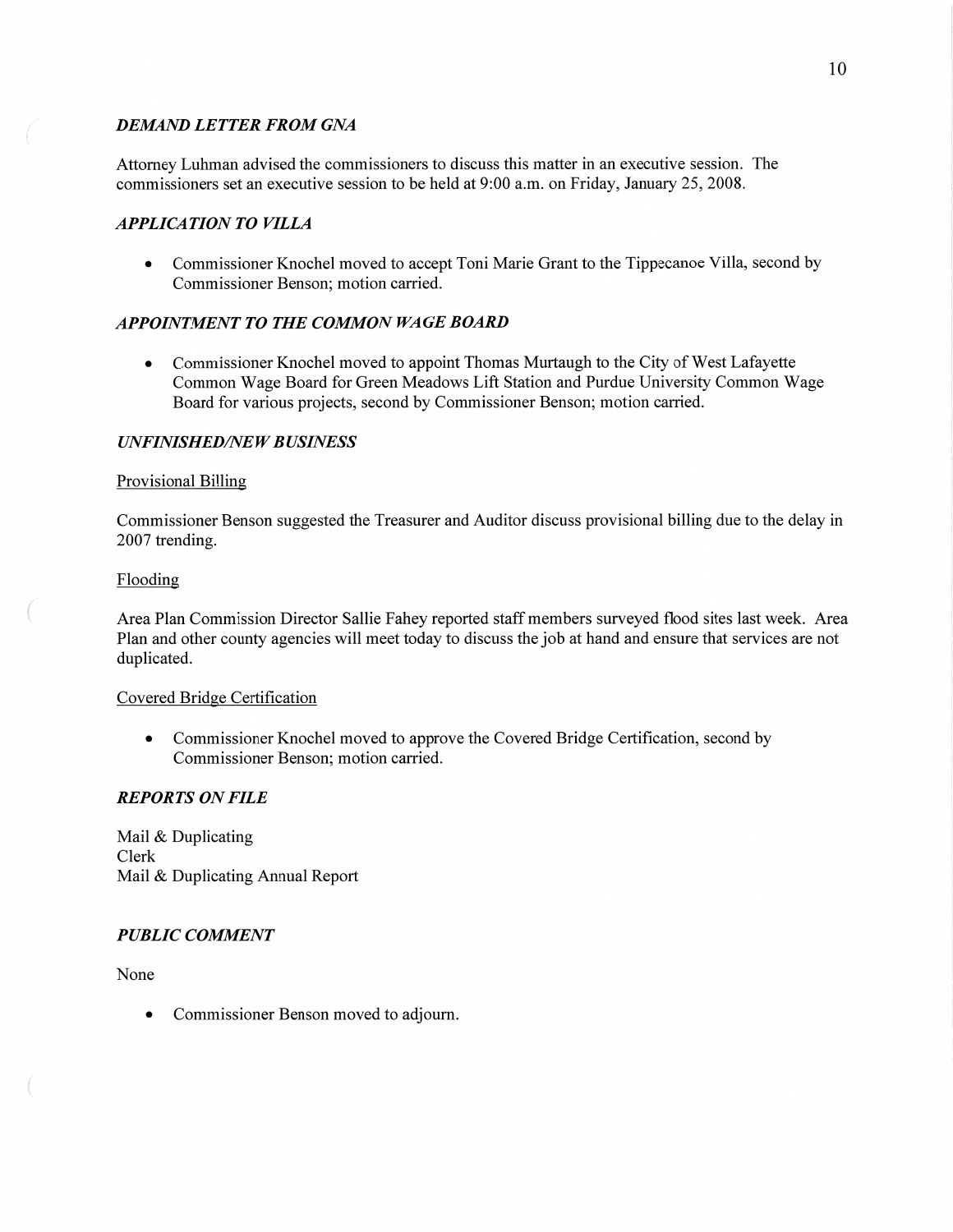# *DEMAND LETTER FROM GNA*

Attorney Luhman advised the commissioners to discuss this matter in an executive session. The commissioners set an executive session to be held at 9:00 am. on Friday, January 25, 2008.

# *APPLICATION TO VILLA*

• Commissioner Knochel moved to accept Toni Marie Grant to the Tippecanoe Villa, second by Commissioner Benson; motion carried.

# *APPOINTMENT* TO THE *COMMON* WA GE *BOARD*

**0** Commissioner Knochel moved to appoint Thomas Murtaugh to the City of West Lafayette Common Wage Board for Green Meadows Lift Station and Purdue University Common Wage Board for various projects, second by Commissioner Benson; motion carried.

### *UNFINISHED/NEW BUSINESS*

### Provisional Billing

Commissioner Benson suggested the Treasurer and Auditor discuss provisional billing due to the delay in 2007 trending.

#### Flooding

Area Plan Commission Director Sallie Fahey reported staff members surveyed **flood** sites last week. Area Plan and other county agencies will meet today to discuss the job at hand and ensure **that** services are not duplicated.

#### Covered Bridge Certification

• Commissioner Knochel moved to approve the Covered Bridge Certification, second by Commissioner Benson; motion carried.

# *REPORTS* ON *FILE*

Mail & Duplicating Clerk Mail & Duplicating Annual Report

# *PUBLIC COMMENT*

None

**0** Commissioner **Benson** moved to adjourn.